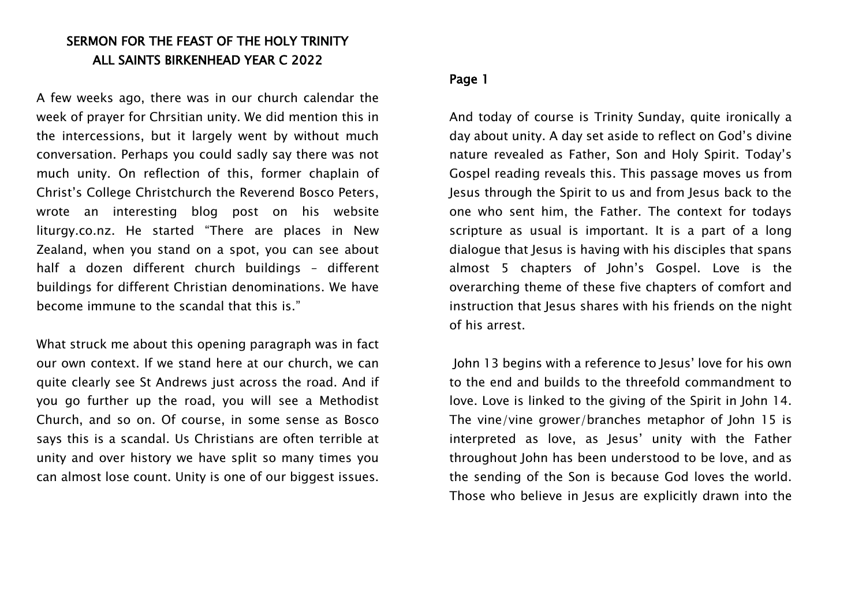# SERMON FOR THE FEAST OF THE HOLY TRINITY ALL SAINTS BIRKENHEAD YEAR C 2022

A few weeks ago, there was in our church calendar the week of prayer for Chrsitian unity. We did mention this in the intercessions, but it largely went by without much conversation. Perhaps you could sadly say there was not much unity. On reflection of this, former chaplain of Christ's College Christchurch the Reverend Bosco Peters, wrote an interesting blog post on his website liturgy.co.nz. He started "There are places in New Zealand, when you stand on a spot, you can see about half a dozen different church buildings – different buildings for different Christian denominations. We have become immune to the scandal that this is."

What struck me about this opening paragraph was in fact our own context. If we stand here at our church, we can quite clearly see St Andrews just across the road. And if you go further up the road, you will see a Methodist Church, and so on. Of course, in some sense as Bosco says this is a scandal. Us Christians are often terrible at unity and over history we have split so many times you can almost lose count. Unity is one of our biggest issues.

## Page 1

And today of course is Trinity Sunday, quite ironically a day about unity. A day set aside to reflect on God's divine nature revealed as Father, Son and Holy Spirit. Today's Gospel reading reveals this. This passage moves us from Jesus through the Spirit to us and from Jesus back to the one who sent him, the Father. The context for todays scripture as usual is important. It is a part of a long dialogue that Jesus is having with his disciples that spans almost 5 chapters of John's Gospel. Love is the overarching theme of these five chapters of comfort and instruction that lesus shares with his friends on the night of his arrest.

John 13 begins with a reference to Jesus' love for his own to the end and builds to the threefold commandment to love. Love is linked to the giving of the Spirit in John 14. The vine/vine grower/branches metaphor of John 15 is interpreted as love, as Jesus' unity with the Father throughout John has been understood to be love, and as the sending of the Son is because God loves the world. Those who believe in Jesus are explicitly drawn into the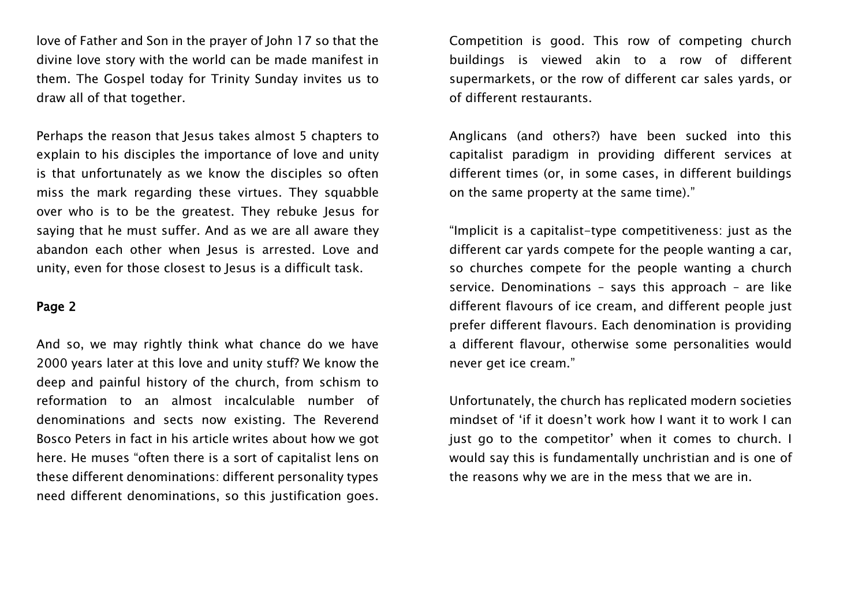love of Father and Son in the prayer of John 17 so that the divine love story with the world can be made manifest in them. The Gospel today for Trinity Sunday invites us to draw all of that together.

Perhaps the reason that Jesus takes almost 5 chapters to explain to his disciples the importance of love and unity is that unfortunately as we know the disciples so often miss the mark regarding these virtues. They squabble over who is to be the greatest. They rebuke Jesus for saying that he must suffer. And as we are all aware they abandon each other when Jesus is arrested. Love and unity, even for those closest to Jesus is a difficult task.

#### Page 2

And so, we may rightly think what chance do we have 2000 years later at this love and unity stuff? We know the deep and painful history of the church, from schism to reformation to an almost incalculable number of denominations and sects now existing. The Reverend Bosco Peters in fact in his article writes about how we got here. He muses "often there is a sort of capitalist lens on these different denominations: different personality types need different denominations, so this justification goes. Competition is good. This row of competing church buildings is viewed akin to a row of different supermarkets, or the row of different car sales yards, or of different restaurants.

Anglicans (and others?) have been sucked into this capitalist paradigm in providing different services at different times (or, in some cases, in different buildings on the same property at the same time)."

"Implicit is a capitalist-type competitiveness: just as the different car yards compete for the people wanting a car, so churches compete for the people wanting a church service. Denominations – says this approach – are like different flavours of ice cream, and different people just prefer different flavours. Each denomination is providing a different flavour, otherwise some personalities would never get ice cream."

Unfortunately, the church has replicated modern societies mindset of 'if it doesn't work how I want it to work I can just go to the competitor' when it comes to church. I would say this is fundamentally unchristian and is one of the reasons why we are in the mess that we are in.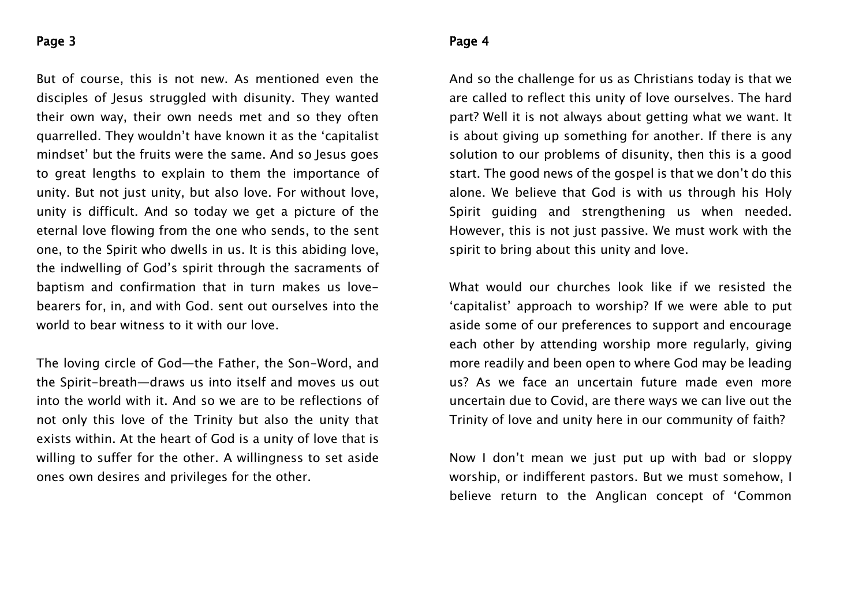### Page 3

But of course, this is not new. As mentioned even the disciples of Jesus struggled with disunity. They wanted their own way, their own needs met and so they often quarrelled. They wouldn't have known it as the 'capitalist mindset' but the fruits were the same. And so Jesus goes to great lengths to explain to them the importance of unity. But not just unity, but also love. For without love, unity is difficult. And so today we get a picture of the eternal love flowing from the one who sends, to the sent one, to the Spirit who dwells in us. It is this abiding love, the indwelling of God's spirit through the sacraments of baptism and confirmation that in turn makes us lovebearers for, in, and with God. sent out ourselves into the world to bear witness to it with our love.

The loving circle of God—the Father, the Son-Word, and the Spirit-breath—draws us into itself and moves us out into the world with it. And so we are to be reflections of not only this love of the Trinity but also the unity that exists within. At the heart of God is a unity of love that is willing to suffer for the other. A willingness to set aside ones own desires and privileges for the other.

#### Page 4

And so the challenge for us as Christians today is that we are called to reflect this unity of love ourselves. The hard part? Well it is not always about getting what we want. It is about giving up something for another. If there is any solution to our problems of disunity, then this is a good start. The good news of the gospel is that we don't do this alone. We believe that God is with us through his Holy Spirit guiding and strengthening us when needed. However, this is not just passive. We must work with the spirit to bring about this unity and love.

What would our churches look like if we resisted the 'capitalist' approach to worship? If we were able to put aside some of our preferences to support and encourage each other by attending worship more regularly, giving more readily and been open to where God may be leading us? As we face an uncertain future made even more uncertain due to Covid, are there ways we can live out the Trinity of love and unity here in our community of faith?

Now I don't mean we just put up with bad or sloppy worship, or indifferent pastors. But we must somehow, I believe return to the Anglican concept of 'Common